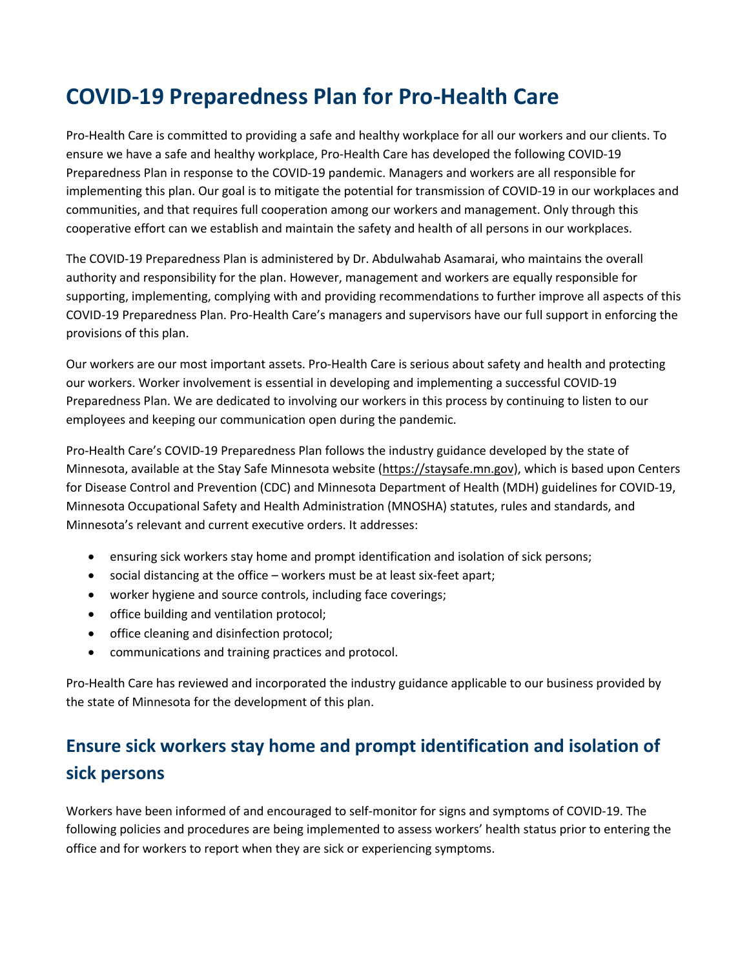# **COVID-19 Preparedness Plan for Pro-Health Care**

Pro-Health Care is committed to providing a safe and healthy workplace for all our workers and our clients. To ensure we have a safe and healthy workplace, Pro-Health Care has developed the following COVID-19 Preparedness Plan in response to the COVID-19 pandemic. Managers and workers are all responsible for implementing this plan. Our goal is to mitigate the potential for transmission of COVID-19 in our workplaces and communities, and that requires full cooperation among our workers and management. Only through this cooperative effort can we establish and maintain the safety and health of all persons in our workplaces.

The COVID-19 Preparedness Plan is administered by Dr. Abdulwahab Asamarai, who maintains the overall authority and responsibility for the plan. However, management and workers are equally responsible for supporting, implementing, complying with and providing recommendations to further improve all aspects of this COVID-19 Preparedness Plan. Pro-Health Care's managers and supervisors have our full support in enforcing the provisions of this plan.

Our workers are our most important assets. Pro-Health Care is serious about safety and health and protecting our workers. Worker involvement is essential in developing and implementing a successful COVID-19 Preparedness Plan. We are dedicated to involving our workers in this process by continuing to listen to our employees and keeping our communication open during the pandemic.

Pro-Health Care's COVID-19 Preparedness Plan follows the industry guidance developed by the state of Minnesota, available at the Stay Safe Minnesota website (https://staysafe.mn.gov), which is based upon Centers for Disease Control and Prevention (CDC) and Minnesota Department of Health (MDH) guidelines for COVID-19, Minnesota Occupational Safety and Health Administration (MNOSHA) statutes, rules and standards, and Minnesota's relevant and current executive orders. It addresses:

- ensuring sick workers stay home and prompt identification and isolation of sick persons;
- social distancing at the office workers must be at least six-feet apart;
- worker hygiene and source controls, including face coverings;
- office building and ventilation protocol;
- office cleaning and disinfection protocol;
- communications and training practices and protocol.

Pro-Health Care has reviewed and incorporated the industry guidance applicable to our business provided by the state of Minnesota for the development of this plan.

## **Ensure sick workers stay home and prompt identification and isolation of sick persons**

Workers have been informed of and encouraged to self-monitor for signs and symptoms of COVID-19. The following policies and procedures are being implemented to assess workers' health status prior to entering the office and for workers to report when they are sick or experiencing symptoms.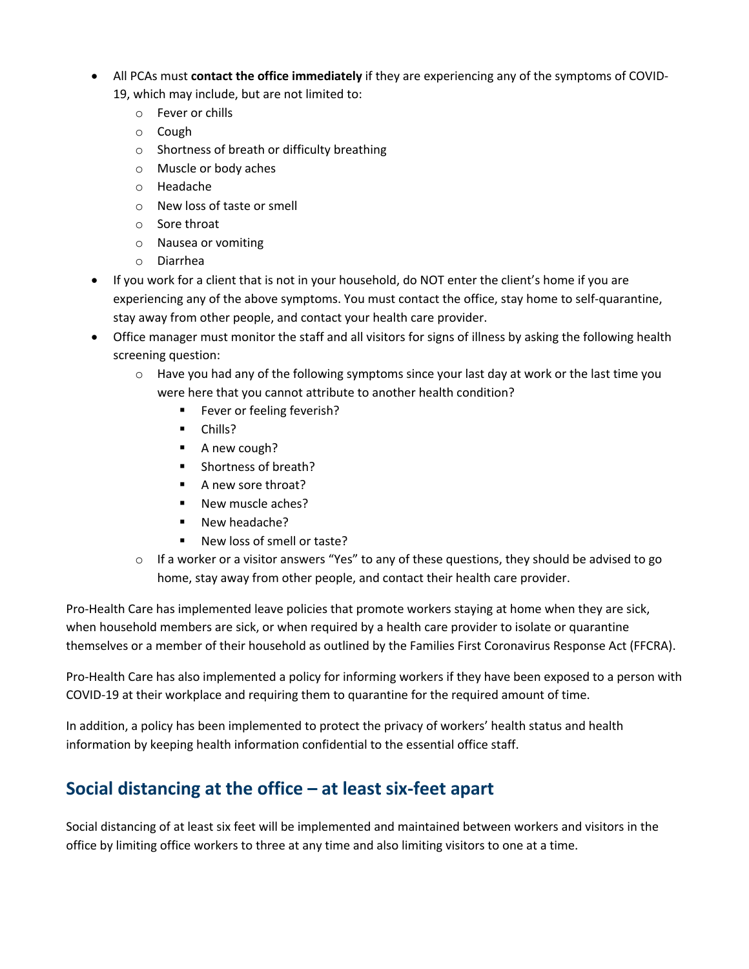- All PCAs must **contact the office immediately** if they are experiencing any of the symptoms of COVID-
	- 19, which may include, but are not limited to:
		- o Fever or chills
		- o Cough
		- o Shortness of breath or difficulty breathing
		- o Muscle or body aches
		- o Headache
		- o New loss of taste or smell
		- o Sore throat
		- o Nausea or vomiting
		- o Diarrhea
- If you work for a client that is not in your household, do NOT enter the client's home if you are experiencing any of the above symptoms. You must contact the office, stay home to self-quarantine, stay away from other people, and contact your health care provider.
- Office manager must monitor the staff and all visitors for signs of illness by asking the following health screening question:
	- o Have you had any of the following symptoms since your last day at work or the last time you were here that you cannot attribute to another health condition?
		- **Fever or feeling feverish?**
		- Chills?
		- A new cough?
		- Shortness of breath?
		- § A new sore throat?
		- New muscle aches?
		- New headache?
		- § New loss of smell or taste?
	- $\circ$  If a worker or a visitor answers "Yes" to any of these questions, they should be advised to go home, stay away from other people, and contact their health care provider.

Pro-Health Care has implemented leave policies that promote workers staying at home when they are sick, when household members are sick, or when required by a health care provider to isolate or quarantine themselves or a member of their household as outlined by the Families First Coronavirus Response Act (FFCRA).

Pro-Health Care has also implemented a policy for informing workers if they have been exposed to a person with COVID-19 at their workplace and requiring them to quarantine for the required amount of time.

In addition, a policy has been implemented to protect the privacy of workers' health status and health information by keeping health information confidential to the essential office staff.

### **Social distancing at the office – at least six-feet apart**

Social distancing of at least six feet will be implemented and maintained between workers and visitors in the office by limiting office workers to three at any time and also limiting visitors to one at a time.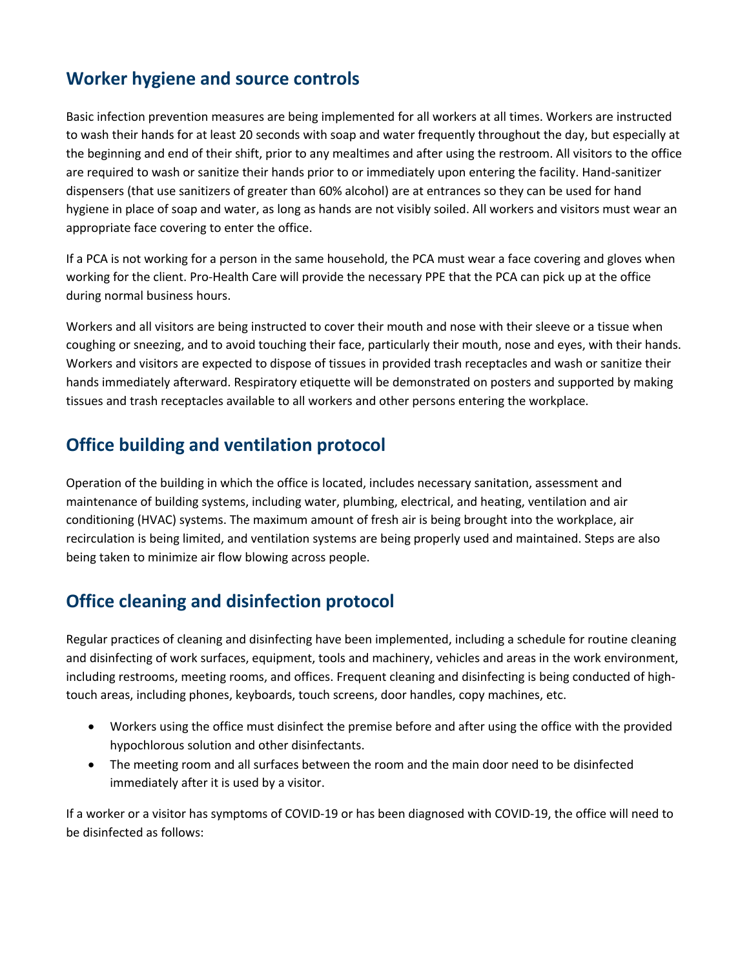#### **Worker hygiene and source controls**

Basic infection prevention measures are being implemented for all workers at all times. Workers are instructed to wash their hands for at least 20 seconds with soap and water frequently throughout the day, but especially at the beginning and end of their shift, prior to any mealtimes and after using the restroom. All visitors to the office are required to wash or sanitize their hands prior to or immediately upon entering the facility. Hand-sanitizer dispensers (that use sanitizers of greater than 60% alcohol) are at entrances so they can be used for hand hygiene in place of soap and water, as long as hands are not visibly soiled. All workers and visitors must wear an appropriate face covering to enter the office.

If a PCA is not working for a person in the same household, the PCA must wear a face covering and gloves when working for the client. Pro-Health Care will provide the necessary PPE that the PCA can pick up at the office during normal business hours.

Workers and all visitors are being instructed to cover their mouth and nose with their sleeve or a tissue when coughing or sneezing, and to avoid touching their face, particularly their mouth, nose and eyes, with their hands. Workers and visitors are expected to dispose of tissues in provided trash receptacles and wash or sanitize their hands immediately afterward. Respiratory etiquette will be demonstrated on posters and supported by making tissues and trash receptacles available to all workers and other persons entering the workplace.

#### **Office building and ventilation protocol**

Operation of the building in which the office is located, includes necessary sanitation, assessment and maintenance of building systems, including water, plumbing, electrical, and heating, ventilation and air conditioning (HVAC) systems. The maximum amount of fresh air is being brought into the workplace, air recirculation is being limited, and ventilation systems are being properly used and maintained. Steps are also being taken to minimize air flow blowing across people.

#### **Office cleaning and disinfection protocol**

Regular practices of cleaning and disinfecting have been implemented, including a schedule for routine cleaning and disinfecting of work surfaces, equipment, tools and machinery, vehicles and areas in the work environment, including restrooms, meeting rooms, and offices. Frequent cleaning and disinfecting is being conducted of hightouch areas, including phones, keyboards, touch screens, door handles, copy machines, etc.

- Workers using the office must disinfect the premise before and after using the office with the provided hypochlorous solution and other disinfectants.
- The meeting room and all surfaces between the room and the main door need to be disinfected immediately after it is used by a visitor.

If a worker or a visitor has symptoms of COVID-19 or has been diagnosed with COVID-19, the office will need to be disinfected as follows: